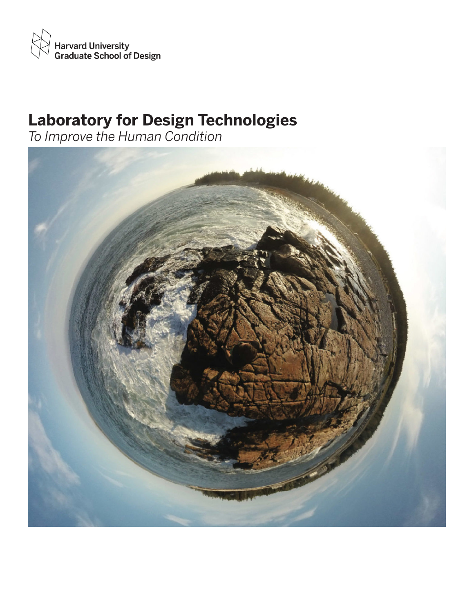

# **Laboratory for Design Technologies**

*To Improve the Human Condition*

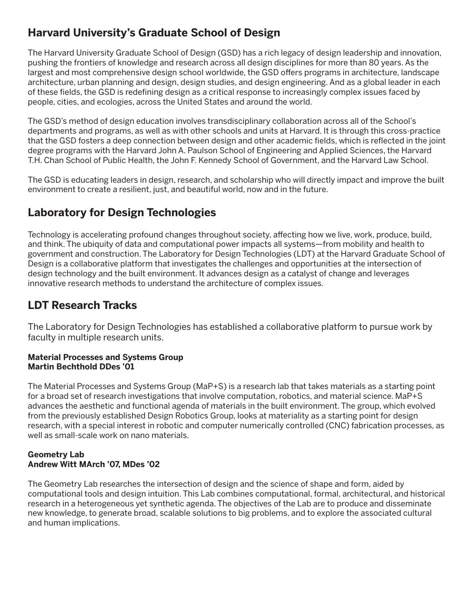# **Harvard University's Graduate School of Design**

The Harvard University Graduate School of Design (GSD) has a rich legacy of design leadership and innovation, pushing the frontiers of knowledge and research across all design disciplines for more than 80 years. As the largest and most comprehensive design school worldwide, the GSD offers programs in architecture, landscape architecture, urban planning and design, design studies, and design engineering. And as a global leader in each of these fields, the GSD is redefining design as a critical response to increasingly complex issues faced by people, cities, and ecologies, across the United States and around the world.

The GSD's method of design education involves transdisciplinary collaboration across all of the School's departments and programs, as well as with other schools and units at Harvard. It is through this cross-practice that the GSD fosters a deep connection between design and other academic fields, which is reflected in the joint degree programs with the Harvard John A. Paulson School of Engineering and Applied Sciences, the Harvard T.H. Chan School of Public Health, the John F. Kennedy School of Government, and the Harvard Law School.

The GSD is educating leaders in design, research, and scholarship who will directly impact and improve the built environment to create a resilient, just, and beautiful world, now and in the future.

# **Laboratory for Design Technologies**

Technology is accelerating profound changes throughout society, affecting how we live, work, produce, build, and think. The ubiquity of data and computational power impacts all systems—from mobility and health to government and construction. The Laboratory for Design Technologies (LDT) at the Harvard Graduate School of Design is a collaborative platform that investigates the challenges and opportunities at the intersection of design technology and the built environment. It advances design as a catalyst of change and leverages innovative research methods to understand the architecture of complex issues.

## **LDT Research Tracks**

The Laboratory for Design Technologies has established a collaborative platform to pursue work by faculty in multiple research units.

#### **Material Processes and Systems Group Martin Bechthold DDes '01**

The Material Processes and Systems Group (MaP+S) is a research lab that takes materials as a starting point for a broad set of research investigations that involve computation, robotics, and material science. MaP+S advances the aesthetic and functional agenda of materials in the built environment. The group, which evolved from the previously established Design Robotics Group, looks at materiality as a starting point for design research, with a special interest in robotic and computer numerically controlled (CNC) fabrication processes, as well as small-scale work on nano materials.

#### **Geometry Lab Andrew Witt MArch '07, MDes '02**

The Geometry Lab researches the intersection of design and the science of shape and form, aided by computational tools and design intuition. This Lab combines computational, formal, architectural, and historical research in a heterogeneous yet synthetic agenda. The objectives of the Lab are to produce and disseminate new knowledge, to generate broad, scalable solutions to big problems, and to explore the associated cultural and human implications.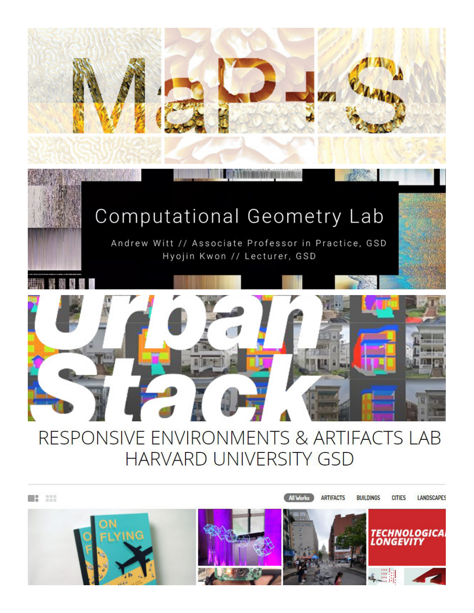

# Computational Geometry Lab

Andrew Witt // Associate Professor in Practice, GSD Hyojin Kwon // Lecturer, GSD



# RESPONSIVE ENVIRONMENTS & ARTIFACTS LAB **HARVARD UNIVERSITY GSD**

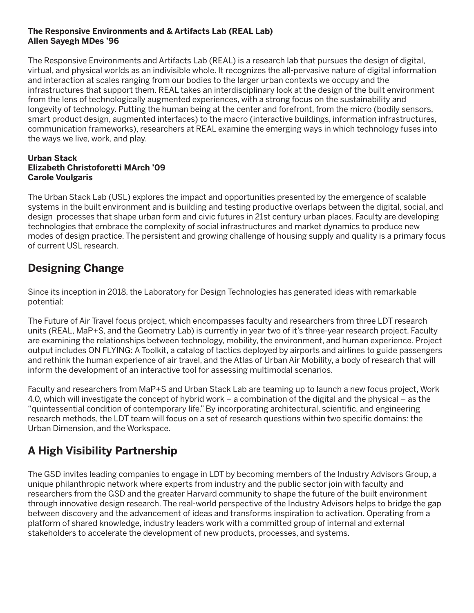#### **The Responsive Environments and & Artifacts Lab (REAL Lab) Allen Sayegh MDes '96**

The Responsive Environments and Artifacts Lab (REAL) is a research lab that pursues the design of digital, virtual, and physical worlds as an indivisible whole. It recognizes the all-pervasive nature of digital information and interaction at scales ranging from our bodies to the larger urban contexts we occupy and the infrastructures that support them. REAL takes an interdisciplinary look at the design of the built environment from the lens of technologically augmented experiences, with a strong focus on the sustainability and longevity of technology. Putting the human being at the center and forefront, from the micro (bodily sensors, smart product design, augmented interfaces) to the macro (interactive buildings, information infrastructures, communication frameworks), researchers at REAL examine the emerging ways in which technology fuses into the ways we live, work, and play.

#### **Urban Stack Elizabeth Christoforetti MArch '09 Carole Voulgaris**

The Urban Stack Lab (USL) explores the impact and opportunities presented by the emergence of scalable systems in the built environment and is building and testing productive overlaps between the digital, social, and design processes that shape urban form and civic futures in 21st century urban places. Faculty are developing technologies that embrace the complexity of social infrastructures and market dynamics to produce new modes of design practice. The persistent and growing challenge of housing supply and quality is a primary focus of current USL research.

## **Designing Change**

Since its inception in 2018, the Laboratory for Design Technologies has generated ideas with remarkable potential:

The Future of Air Travel focus project, which encompasses faculty and researchers from three LDT research units (REAL, MaP+S, and the Geometry Lab) is currently in year two of it's three-year research project. Faculty are examining the relationships between technology, mobility, the environment, and human experience. Project output includes ON FLYING: A Toolkit, a catalog of tactics deployed by airports and airlines to guide passengers and rethink the human experience of air travel, and the Atlas of Urban Air Mobility, a body of research that will inform the development of an interactive tool for assessing multimodal scenarios.

Faculty and researchers from MaP+S and Urban Stack Lab are teaming up to launch a new focus project, Work 4.0, which will investigate the concept of hybrid work – a combination of the digital and the physical – as the "quintessential condition of contemporary life." By incorporating architectural, scientific, and engineering research methods, the LDT team will focus on a set of research questions within two specific domains: the Urban Dimension, and the Workspace.

# **A High Visibility Partnership**

The GSD invites leading companies to engage in LDT by becoming members of the Industry Advisors Group, a unique philanthropic network where experts from industry and the public sector join with faculty and researchers from the GSD and the greater Harvard community to shape the future of the built environment through innovative design research. The real-world perspective of the Industry Advisors helps to bridge the gap between discovery and the advancement of ideas and transforms inspiration to activation. Operating from a platform of shared knowledge, industry leaders work with a committed group of internal and external stakeholders to accelerate the development of new products, processes, and systems.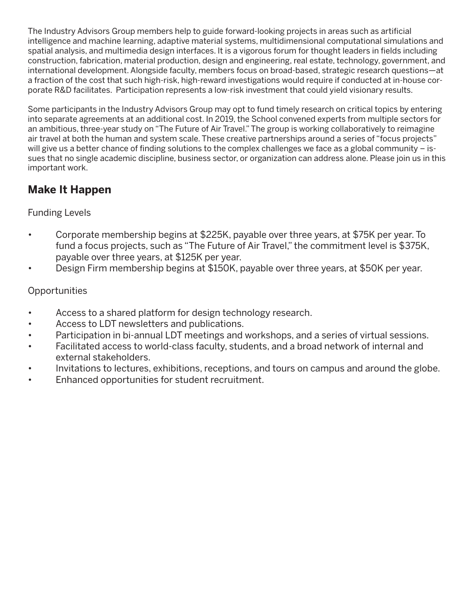The Industry Advisors Group members help to guide forward-looking projects in areas such as artificial intelligence and machine learning, adaptive material systems, multidimensional computational simulations and spatial analysis, and multimedia design interfaces. It is a vigorous forum for thought leaders in fields including construction, fabrication, material production, design and engineering, real estate, technology, government, and international development. Alongside faculty, members focus on broad-based, strategic research questions—at a fraction of the cost that such high-risk, high-reward investigations would require if conducted at in-house corporate R&D facilitates. Participation represents a low-risk investment that could yield visionary results.

Some participants in the Industry Advisors Group may opt to fund timely research on critical topics by entering into separate agreements at an additional cost. In 2019, the School convened experts from multiple sectors for an ambitious, three-year study on "The Future of Air Travel." The group is working collaboratively to reimagine air travel at both the human and system scale. These creative partnerships around a series of "focus projects" will give us a better chance of finding solutions to the complex challenges we face as a global community – issues that no single academic discipline, business sector, or organization can address alone. Please join us in this important work.

# **Make It Happen**

## Funding Levels

- Corporate membership begins at \$225K, payable over three years, at \$75K per year. To fund a focus projects, such as "The Future of Air Travel," the commitment level is \$375K, payable over three years, at \$125K per year.
- Design Firm membership begins at \$150K, payable over three years, at \$50K per year.

## **Opportunities**

- Access to a shared platform for design technology research.
- Access to LDT newsletters and publications.
- Participation in bi-annual LDT meetings and workshops, and a series of virtual sessions.
- Facilitated access to world-class faculty, students, and a broad network of internal and external stakeholders.
- Invitations to lectures, exhibitions, receptions, and tours on campus and around the globe.
- Enhanced opportunities for student recruitment.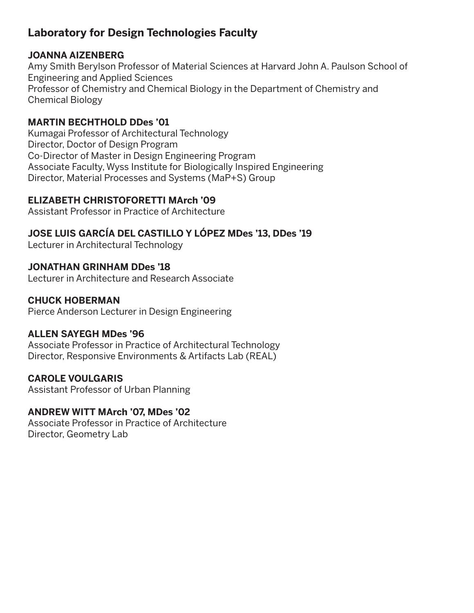# **Laboratory for Design Technologies Faculty**

#### **JOANNA AIZENBERG**

Amy Smith Berylson Professor of Material Sciences at Harvard John A. Paulson School of Engineering and Applied Sciences Professor of Chemistry and Chemical Biology in the Department of Chemistry and Chemical Biology

### **MARTIN BECHTHOLD DDes '01**

Kumagai Professor of Architectural Technology Director, Doctor of Design Program Co-Director of Master in Design Engineering Program Associate Faculty, Wyss Institute for Biologically Inspired Engineering Director, Material Processes and Systems (MaP+S) Group

### **ELIZABETH CHRISTOFORETTI MArch '09**

Assistant Professor in Practice of Architecture

## **JOSE LUIS GARCÍA DEL CASTILLO Y LÓPEZ MDes '13, DDes '19**

Lecturer in Architectural Technology

### **JONATHAN GRINHAM DDes '18**

Lecturer in Architecture and Research Associate

#### **CHUCK HOBERMAN**

Pierce Anderson Lecturer in Design Engineering

#### **ALLEN SAYEGH MDes '96**

Associate Professor in Practice of Architectural Technology Director, Responsive Environments & Artifacts Lab (REAL)

### **CAROLE VOULGARIS**

Assistant Professor of Urban Planning

### **ANDREW WITT MArch '07, MDes '02**

Associate Professor in Practice of Architecture Director, Geometry Lab